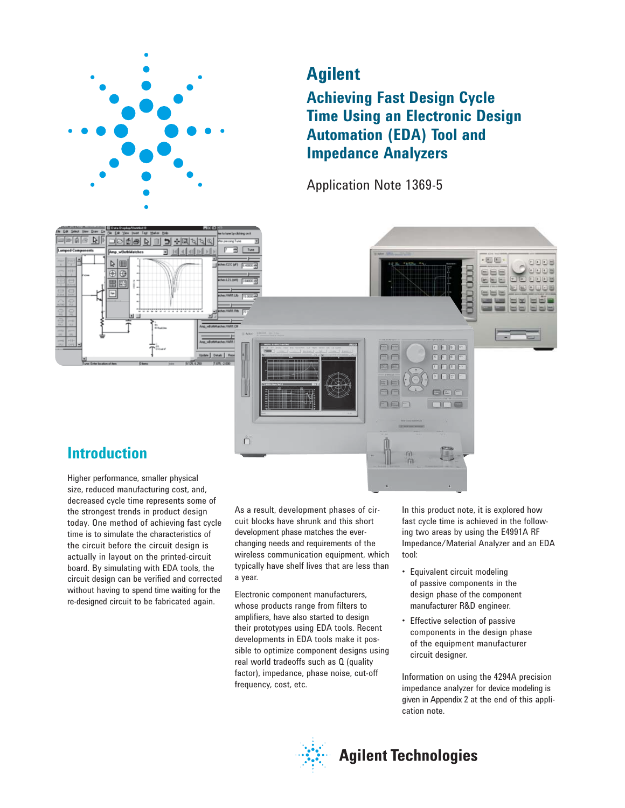

# **Agilent**

**Achieving Fast Design Cycle Time Using an Electronic Design Automation (EDA) Tool and Impedance Analyzers** 

Application Note 1369-5



# **Introduction**

 $\mathbb{R}$ 

Higher performance, smaller physical size, reduced manufacturing cost, and, decreased cycle time represents some of the strongest trends in product design today. One method of achieving fast cycle time is to simulate the characteristics of the circuit before the circuit design is actually in layout on the printed-circuit board. By simulating with EDA tools, the circuit design can be verified and corrected without having to spend time waiting for the re-designed circuit to be fabricated again.

As a result, development phases of circuit blocks have shrunk and this short development phase matches the everchanging needs and requirements of the wireless communication equipment, which typically have shelf lives that are less than a year.

Electronic component manufacturers, whose products range from filters to amplifiers, have also started to design their prototypes using EDA tools. Recent developments in EDA tools make it possible to optimize component designs using real world tradeoffs such as Q (quality factor), impedance, phase noise, cut-off frequency, cost, etc.

In this product note, it is explored how fast cycle time is achieved in the following two areas by using the E4991A RF Impedance/Material Analyzer and an EDA tool:

- Equivalent circuit modeling of passive components in the design phase of the component manufacturer R&D engineer.
- Effective selection of passive components in the design phase of the equipment manufacturer circuit designer.

Information on using the 4294A precision impedance analyzer for device modeling is given in Appendix 2 at the end of this application note.

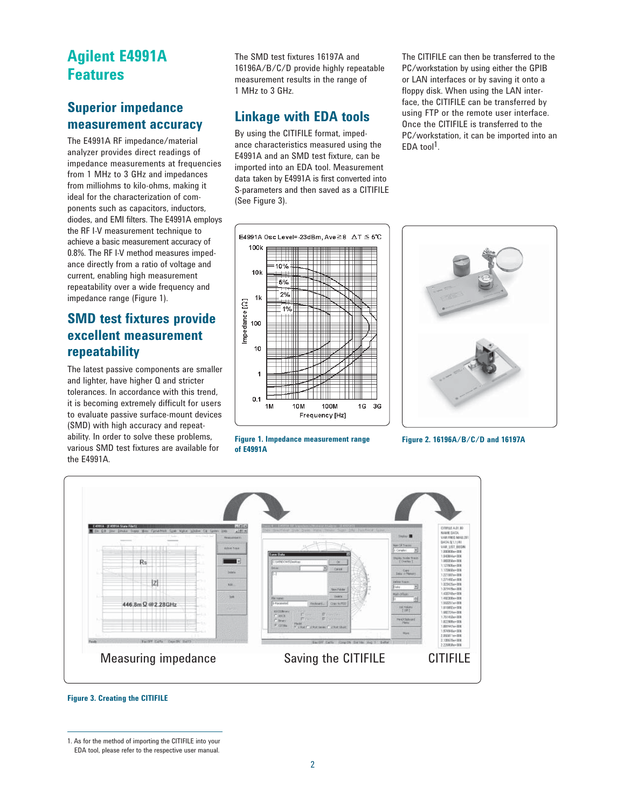# **Agilent E4991A Features**

### **Superior impedance measurement accuracy**

The E4991A RF impedance/material analyzer provides direct readings of impedance measurements at frequencies from 1 MHz to 3 GHz and impedances from milliohms to kilo-ohms, making it ideal for the characterization of components such as capacitors, inductors, diodes, and EMI filters. The E4991A employs the RF I-V measurement technique to achieve a basic measurement accuracy of 0.8%. The RF I-V method measures impedance directly from a ratio of voltage and current, enabling high measurement repeatability over a wide frequency and impedance range (Figure 1).

### **SMD test fixtures provide excellent measurement repeatability**

The latest passive components are smaller and lighter, have higher Q and stricter tolerances. In accordance with this trend, it is becoming extremely difficult for users to evaluate passive surface-mount devices (SMD) with high accuracy and repeatability. In order to solve these problems, various SMD test fixtures are available for the E4991A.

The SMD test fixtures 16197A and 16196A/B/C/D provide highly repeatable measurement results in the range of 1 MHz to 3 GHz.

## **Linkage with EDA tools**

By using the CITIFILE format, impedance characteristics measured using the E4991A and an SMD test fixture, can be imported into an EDA tool. Measurement data taken by E4991A is first converted into S-parameters and then saved as a CITIFILE (See Figure 3).

The CITIFILE can then be transferred to the PC/workstation by using either the GPIB or LAN interfaces or by saving it onto a floppy disk. When using the LAN interface, the CITIFILE can be transferred by using FTP or the remote user interface. Once the CITIFILE is transferred to the PC/workstation, it can be imported into an EDA tool<sup>1</sup>.



**Figure 1. Impedance measurement range of E4991A**



**Figure 2. 16196A/B/C/D and 16197A**



**Figure 3. Creating the CITIFILE**

<sup>1.</sup> As for the method of importing the CITIFILE into your EDA tool, please refer to the respective user manual.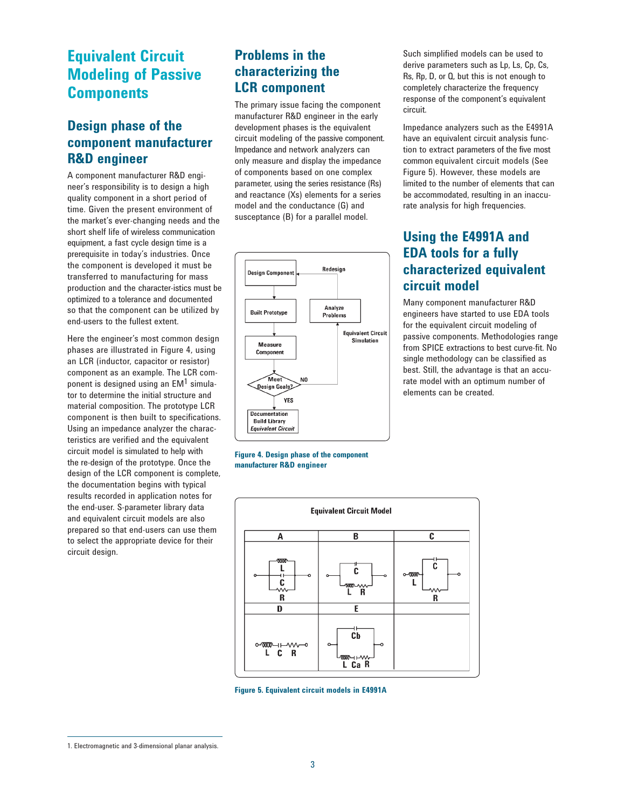# **Equivalent Circuit Modeling of Passive Components**

### **Design phase of the component manufacturer R&D engineer**

A component manufacturer R&D engineer's responsibility is to design a high quality component in a short period of time. Given the present environment of the market's ever-changing needs and the short shelf life of wireless communication equipment, a fast cycle design time is a prerequisite in today's industries. Once the component is developed it must be transferred to manufacturing for mass production and the character-istics must be optimized to a tolerance and documented so that the component can be utilized by end-users to the fullest extent.

Here the engineer's most common design phases are illustrated in Figure 4, using an LCR (inductor, capacitor or resistor) component as an example. The LCR component is designed using an  $EM<sup>1</sup>$  simulator to determine the initial structure and material composition. The prototype LCR component is then built to specifications. Using an impedance analyzer the characteristics are verified and the equivalent circuit model is simulated to help with the re-design of the prototype. Once the design of the LCR component is complete, the documentation begins with typical results recorded in application notes for the end-user. S-parameter library data and equivalent circuit models are also prepared so that end-users can use them to select the appropriate device for their circuit design.

### **Problems in the characterizing the LCR component**

The primary issue facing the component manufacturer R&D engineer in the early development phases is the equivalent circuit modeling of the passive component. Impedance and network analyzers can only measure and display the impedance of components based on one complex parameter, using the series resistance (Rs) and reactance (Xs) elements for a series model and the conductance (G) and susceptance (B) for a parallel model.



**Figure 4. Design phase of the component manufacturer R&D engineer**

Such simplified models can be used to derive parameters such as Lp, Ls, Cp, Cs, Rs, Rp, D, or Q, but this is not enough to completely characterize the frequency response of the component's equivalent circuit.

Impedance analyzers such as the E4991A have an equivalent circuit analysis function to extract parameters of the five most common equivalent circuit models (See Figure 5). However, these models are limited to the number of elements that can be accommodated, resulting in an inaccurate analysis for high frequencies.

### **Using the E4991A and EDA tools for a fully characterized equivalent circuit model**

Many component manufacturer R&D engineers have started to use EDA tools for the equivalent circuit modeling of passive components. Methodologies range from SPICE extractions to best curve-fit. No single methodology can be classified as best. Still, the advantage is that an accurate model with an optimum number of elements can be created.



**Figure 5. Equivalent circuit models in E4991A**

<sup>1.</sup> Electromagnetic and 3-dimensional planar analysis.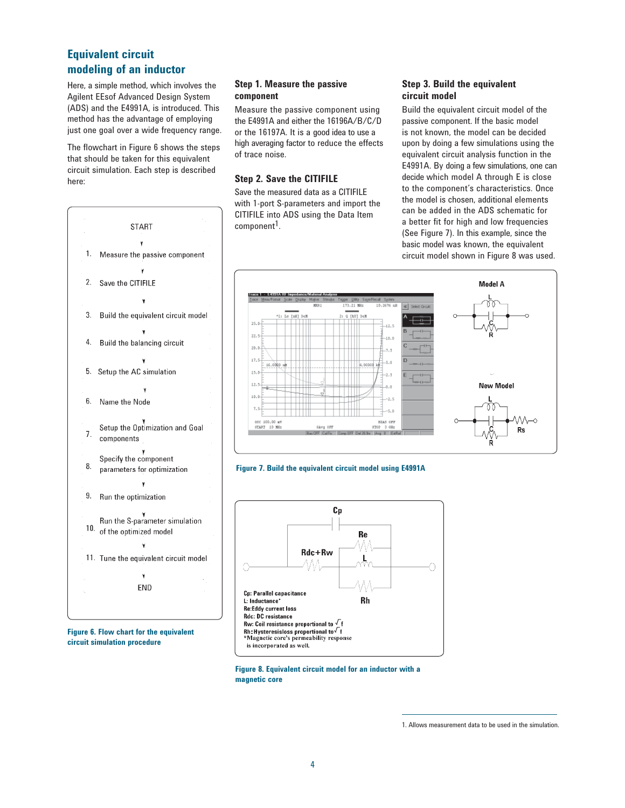### **Equivalent circuit modeling of an inductor**

Here, a simple method, which involves the Agilent EEsof Advanced Design System (ADS) and the E4991A, is introduced. This method has the advantage of employing just one goal over a wide frequency range.

The flowchart in Figure 6 shows the steps that should be taken for this equivalent circuit simulation. Each step is described here:



**Figure 6. Flow chart for the equivalent circuit simulation procedure**

### **Step 1. Measure the passive component**

Measure the passive component using the E4991A and either the 16196A/B/C/D or the 16197A. It is a good idea to use a high averaging factor to reduce the effects of trace noise.

### **Step 2. Save the CITIFILE**

Save the measured data as a CITIFILE with 1-port S-parameters and import the CITIFILE into ADS using the Data Item component<sup>1</sup>.

### **Step 3. Build the equivalent circuit model**

Build the equivalent circuit model of the passive component. If the basic model is not known, the model can be decided upon by doing a few simulations using the equivalent circuit analysis function in the E4991A. By doing a few simulations, one can decide which model A through E is close to the component's characteristics. Once the model is chosen, additional elements can be added in the ADS schematic for a better fit for high and low frequencies (See Figure 7). In this example, since the basic model was known, the equivalent circuit model shown in Figure 8 was used.







**Figure 8. Equivalent circuit model for an inductor with a magnetic core**

<sup>1.</sup> Allows measurement data to be used in the simulation.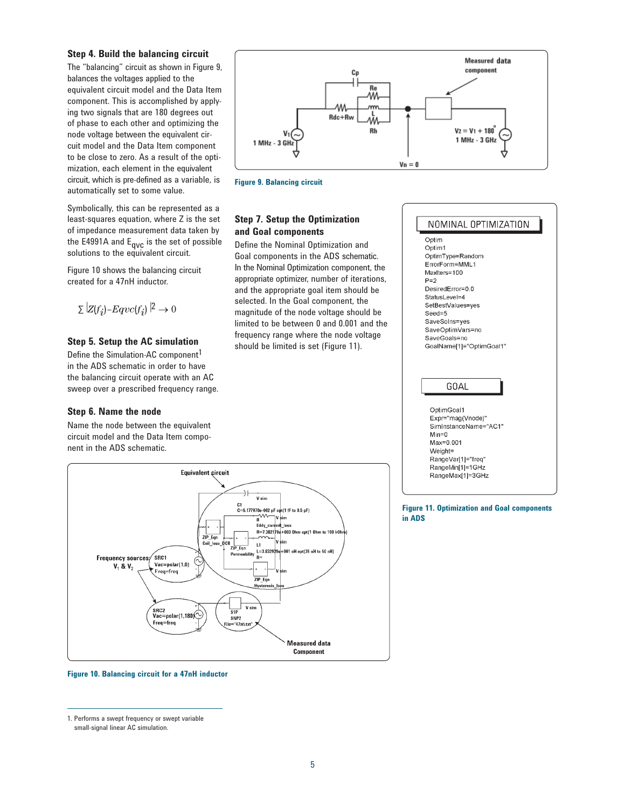#### **Step 4. Build the balancing circuit**

The "balancing" circuit as shown in Figure 9, balances the voltages applied to the equivalent circuit model and the Data Item component. This is accomplished by applying two signals that are 180 degrees out of phase to each other and optimizing the node voltage between the equivalent circuit model and the Data Item component to be close to zero. As a result of the optimization, each element in the equivalent circuit, which is pre-defined as a variable, is automatically set to some value.

Symbolically, this can be represented as a least-squares equation, where Z is the set of impedance measurement data taken by the E4991A and  $E_{\text{qVC}}$  is the set of possible solutions to the equivalent circuit.

Figure 10 shows the balancing circuit created for a 47nH inductor.

 $\sum |Z(f_i) - Eqvc(f_i)|^2 \to 0$ 

#### **Step 5. Setup the AC simulation**

Define the Simulation-AC component<sup>1</sup> in the ADS schematic in order to have the balancing circuit operate with an AC sweep over a prescribed frequency range.

#### **Step 6. Name the node**

Name the node between the equivalent circuit model and the Data Item component in the ADS schematic.



**Figure 9. Balancing circuit**

### **Step 7. Setup the Optimization and Goal components**

Define the Nominal Optimization and Goal components in the ADS schematic. In the Nominal Optimization component, the appropriate optimizer, number of iterations, and the appropriate goal item should be selected. In the Goal component, the magnitude of the node voltage should be limited to be between 0 and 0.001 and the frequency range where the node voltage should be limited is set (Figure 11).







#### **Figure 10. Balancing circuit for a 47nH inductor**

1. Performs a swept frequency or swept variable small-signal linear AC simulation.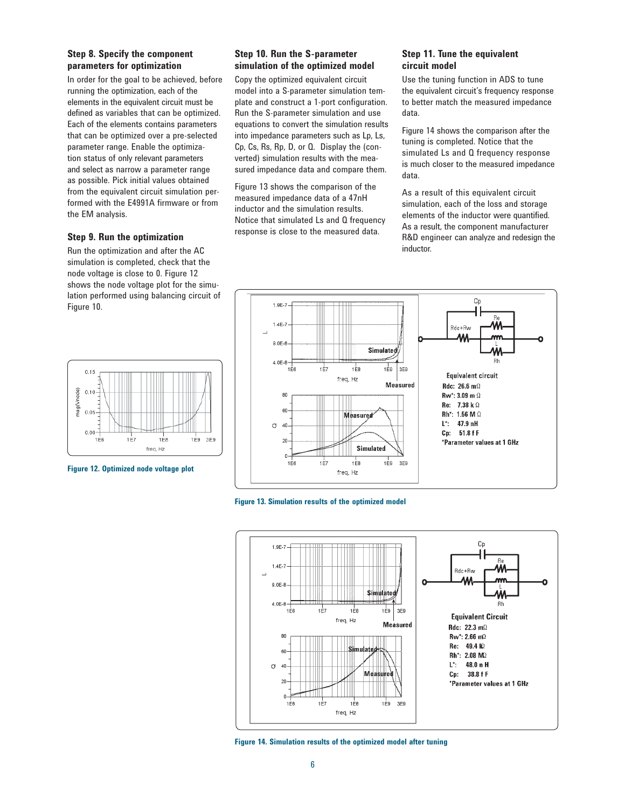### **Step 8. Specify the component parameters for optimization**

In order for the goal to be achieved, before running the optimization, each of the elements in the equivalent circuit must be defined as variables that can be optimized. Each of the elements contains parameters that can be optimized over a pre-selected parameter range. Enable the optimization status of only relevant parameters and select as narrow a parameter range as possible. Pick initial values obtained from the equivalent circuit simulation performed with the E4991A firmware or from the EM analysis.

#### **Step 9. Run the optimization**

Run the optimization and after the AC simulation is completed, check that the node voltage is close to 0. Figure 12 shows the node voltage plot for the simulation performed using balancing circuit of Figure 10.

### **Step 10. Run the S-parameter simulation of the optimized model**

Copy the optimized equivalent circuit model into a S-parameter simulation template and construct a 1-port configuration. Run the S-parameter simulation and use equations to convert the simulation results into impedance parameters such as Lp, Ls, Cp, Cs, Rs, Rp, D, or Q. Display the (converted) simulation results with the measured impedance data and compare them.

Figure 13 shows the comparison of the measured impedance data of a 47nH inductor and the simulation results. Notice that simulated Ls and Q frequency response is close to the measured data.

1.9E-7

#### **Step 11. Tune the equivalent circuit model**

Use the tuning function in ADS to tune the equivalent circuit's frequency response to better match the measured impedance data.

Figure 14 shows the comparison after the tuning is completed. Notice that the simulated Ls and Q frequency response is much closer to the measured impedance data.

As a result of this equivalent circuit simulation, each of the loss and storage elements of the inductor were quantified. As a result, the component manufacturer R&D engineer can analyze and redesign the inductor.

Ch.







**Figure 14. Simulation results of the optimized model after tuning**



**Figure 12. Optimized node voltage plot**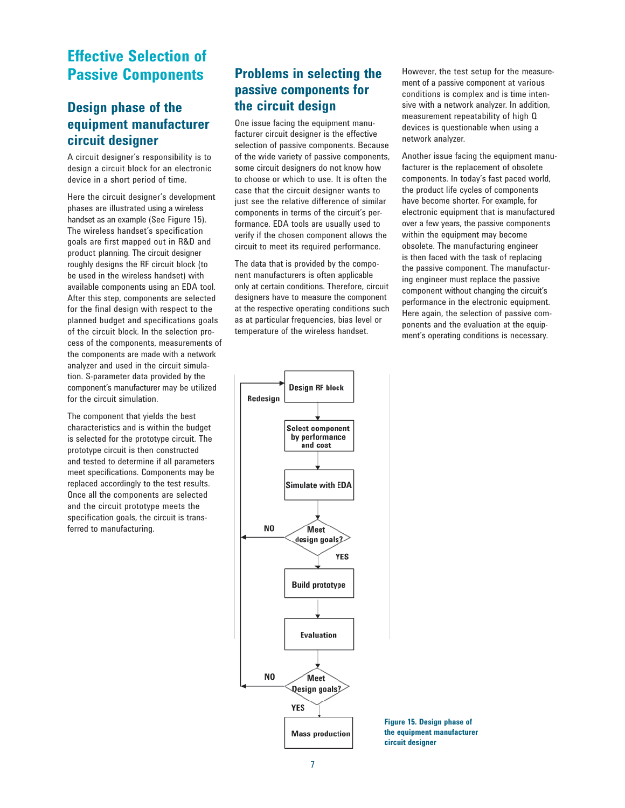# **Effective Selection of Passive Components**

### **Design phase of the equipment manufacturer circuit designer**

A circuit designer's responsibility is to design a circuit block for an electronic device in a short period of time.

Here the circuit designer's development phases are illustrated using a wireless handset as an example (See Figure 15). The wireless handset's specification goals are first mapped out in R&D and product planning. The circuit designer roughly designs the RF circuit block (to be used in the wireless handset) with available components using an EDA tool. After this step, components are selected for the final design with respect to the planned budget and specifications goals of the circuit block. In the selection process of the components, measurements of the components are made with a network analyzer and used in the circuit simulation. S-parameter data provided by the component's manufacturer may be utilized for the circuit simulation.

The component that yields the best characteristics and is within the budget is selected for the prototype circuit. The prototype circuit is then constructed and tested to determine if all parameters meet specifications. Components may be replaced accordingly to the test results. Once all the components are selected and the circuit prototype meets the specification goals, the circuit is transferred to manufacturing.

### **Problems in selecting the passive components for the circuit design**

One issue facing the equipment manufacturer circuit designer is the effective selection of passive components. Because of the wide variety of passive components, some circuit designers do not know how to choose or which to use. It is often the case that the circuit designer wants to just see the relative difference of similar components in terms of the circuit's performance. EDA tools are usually used to verify if the chosen component allows the circuit to meet its required performance.

The data that is provided by the component manufacturers is often applicable only at certain conditions. Therefore, circuit designers have to measure the component at the respective operating conditions such as at particular frequencies, bias level or temperature of the wireless handset.



However, the test setup for the measurement of a passive component at various conditions is complex and is time intensive with a network analyzer. In addition, measurement repeatability of high Q devices is questionable when using a network analyzer.

Another issue facing the equipment manufacturer is the replacement of obsolete components. In today's fast paced world, the product life cycles of components have become shorter. For example, for electronic equipment that is manufactured over a few years, the passive components within the equipment may become obsolete. The manufacturing engineer is then faced with the task of replacing the passive component. The manufacturing engineer must replace the passive component without changing the circuit's performance in the electronic equipment. Here again, the selection of passive components and the evaluation at the equipment's operating conditions is necessary.

**Figure 15. Design phase of the equipment manufacturer circuit designer**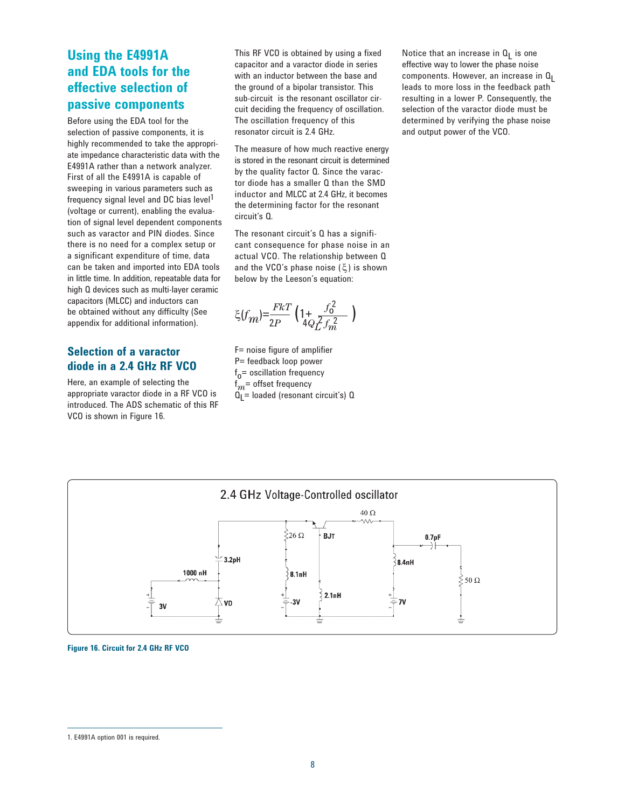### **Using the E4991A and EDA tools for the effective selection of passive components**

Before using the EDA tool for the selection of passive components, it is highly recommended to take the appropriate impedance characteristic data with the E4991A rather than a network analyzer. First of all the E4991A is capable of sweeping in various parameters such as frequency signal level and DC bias level<sup>1</sup> (voltage or current), enabling the evaluation of signal level dependent components such as varactor and PIN diodes. Since there is no need for a complex setup or a significant expenditure of time, data can be taken and imported into EDA tools in little time. In addition, repeatable data for high Q devices such as multi-layer ceramic capacitors (MLCC) and inductors can be obtained without any difficulty (See appendix for additional information).

### **Selection of a varactor diode in a 2.4 GHz RF VCO**

Here, an example of selecting the appropriate varactor diode in a RF VCO is introduced. The ADS schematic of this RF VCO is shown in Figure 16.

This RF VCO is obtained by using a fixed capacitor and a varactor diode in series with an inductor between the base and the ground of a bipolar transistor. This sub-circuit is the resonant oscillator circuit deciding the frequency of oscillation. The oscillation frequency of this resonator circuit is 2.4 GHz.

The measure of how much reactive energy is stored in the resonant circuit is determined by the quality factor Q. Since the varactor diode has a smaller Q than the SMD inductor and MLCC at 2.4 GHz, it becomes the determining factor for the resonant circuit's Q.

The resonant circuit's Q has a significant consequence for phase noise in an actual VCO. The relationship between Q and the VCO's phase noise (ξ) is shown below by the Leeson's equation:

ξ $(f_m) = \frac{FkT}{2P}$  (1+  $\frac{f_0^2}{4QZ}$  $\zeta(f_m) = \frac{FkT}{2P} \left( 1 + \frac{f_0^2}{4Q_L^2 f_m^2} \right)$ 

F= noise figure of amplifier P= feedback loop power f o= oscillation frequency  $\mathsf{f}_{m}$ = offset frequency QL= loaded (resonant circuit's) Q

Notice that an increase in  $Q_L$  is one effective way to lower the phase noise components. However, an increase in  $Q_1$ leads to more loss in the feedback path resulting in a lower P. Consequently, the selection of the varactor diode must be determined by verifying the phase noise and output power of the VCO.





<sup>1.</sup> E4991A option 001 is required.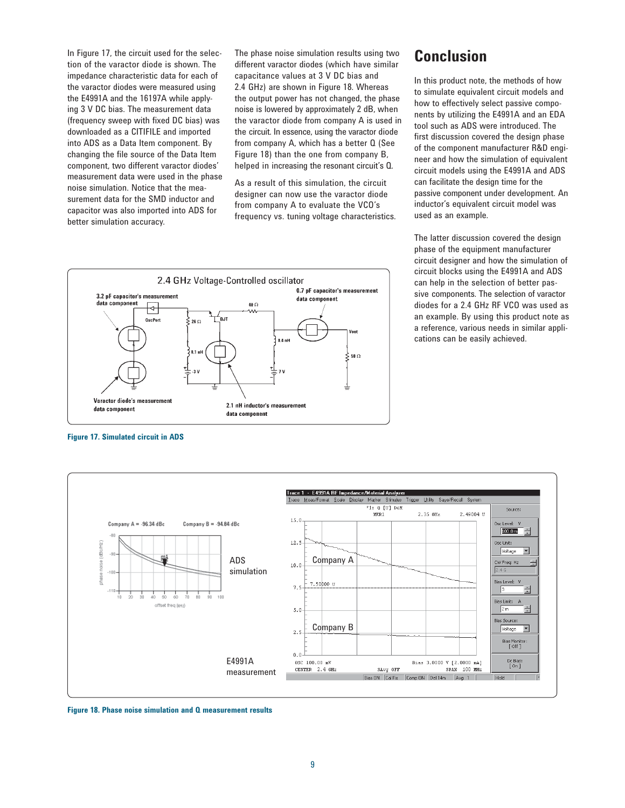In Figure 17, the circuit used for the selection of the varactor diode is shown. The impedance characteristic data for each of the varactor diodes were measured using the E4991A and the 16197A while applying 3 V DC bias. The measurement data (frequency sweep with fixed DC bias) was downloaded as a CITIFILE and imported into ADS as a Data Item component. By changing the file source of the Data Item component, two different varactor diodes' measurement data were used in the phase noise simulation. Notice that the measurement data for the SMD inductor and capacitor was also imported into ADS for better simulation accuracy.

The phase noise simulation results using two different varactor diodes (which have similar capacitance values at 3 V DC bias and 2.4 GHz) are shown in Figure 18. Whereas the output power has not changed, the phase noise is lowered by approximately 2 dB, when the varactor diode from company A is used in the circuit. In essence, using the varactor diode from company A, which has a better Q (See Figure 18) than the one from company B, helped in increasing the resonant circuit's Q.

As a result of this simulation, the circuit designer can now use the varactor diode from company A to evaluate the VCO's frequency vs. tuning voltage characteristics.



**Figure 17. Simulated circuit in ADS**



**Figure 18. Phase noise simulation and Q measurement results** 

# **Conclusion**

In this product note, the methods of how to simulate equivalent circuit models and how to effectively select passive components by utilizing the E4991A and an EDA tool such as ADS were introduced. The first discussion covered the design phase of the component manufacturer R&D engineer and how the simulation of equivalent circuit models using the E4991A and ADS can facilitate the design time for the passive component under development. An inductor's equivalent circuit model was used as an example.

The latter discussion covered the design phase of the equipment manufacturer circuit designer and how the simulation of circuit blocks using the E4991A and ADS can help in the selection of better passive components. The selection of varactor diodes for a 2.4 GHz RF VCO was used as an example. By using this product note as a reference, various needs in similar applications can be easily achieved.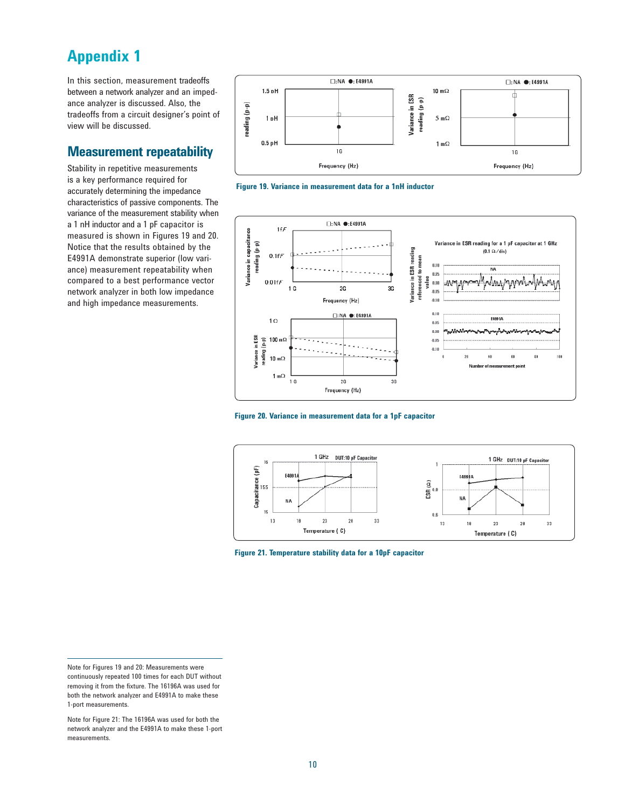# **Appendix 1**

In this section, measurement tradeoffs between a network analyzer and an impedance analyzer is discussed. Also, the tradeoffs from a circuit designer's point of view will be discussed.

### **Measurement repeatability**

Stability in repetitive measurements is a key performance required for accurately determining the impedance characteristics of passive components. The variance of the measurement stability when a 1 nH inductor and a 1 pF capacitor is measured is shown in Figures 19 and 20. Notice that the results obtained by the E4991A demonstrate superior (low variance) measurement repeatability when compared to a best performance vector network analyzer in both low impedance and high impedance measurements.











**Figure 21. Temperature stability data for a 10pF capacitor** 

Note for Figures 19 and 20: Measurements were continuously repeated 100 times for each DUT without removing it from the fixture. The 16196A was used for both the network analyzer and E4991A to make these 1-port measurements.

Note for Figure 21: The 16196A was used for both the network analyzer and the E4991A to make these 1-port measurements.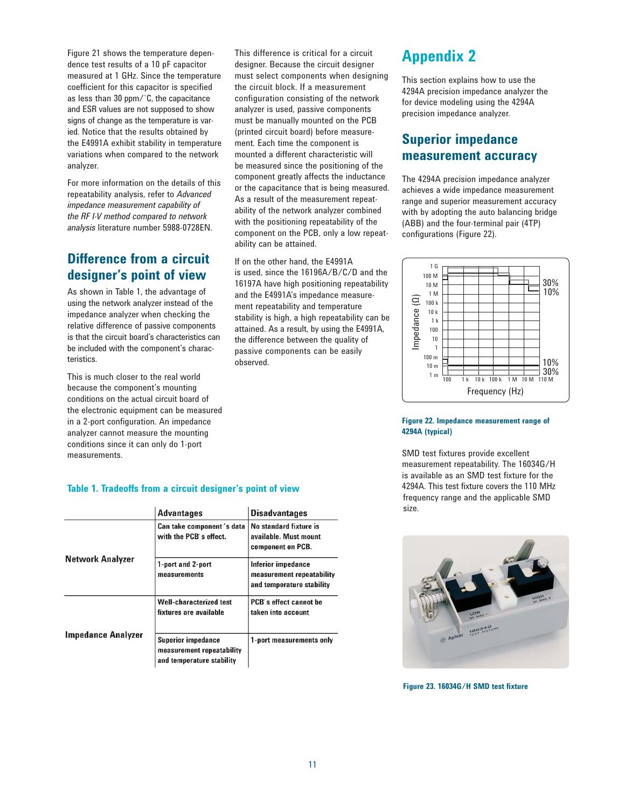Figure 21 shows the temperature dependence test results of a 10 pF capacitor measured at 1 GHz. Since the temperature coefficient for this capacitor is specified as less than 30 ppm/˚C, the capacitance and ESR values are not supposed to show signs of change as the temperature is varied. Notice that the results obtained by the E4991A exhibit stability in temperature variations when compared to the network analyzer.

For more information on the details of this repeatability analysis, refer to *Advanced impedance measurement capability of the RF I-V method compared to network analysis* literature number 5988-0728EN.

### **Difference from a circuit designer's point of view**

As shown in Table 1, the advantage of using the network analyzer instead of the impedance analyzer when checking the relative difference of passive components is that the circuit board's characteristics can be included with the component's characteristics.

This is much closer to the real world because the component's mounting conditions on the actual circuit board of the electronic equipment can be measured in a 2-port configuration. An impedance analyzer cannot measure the mounting conditions since it can only do 1-port measurements.

This difference is critical for a circuit designer. Because the circuit designer must select components when designing the circuit block. If a measurement configuration consisting of the network analyzer is used, passive components must be manually mounted on the PCB (printed circuit board) before measurement. Each time the component is mounted a different characteristic will be measured since the positioning of the component greatly affects the inductance or the capacitance that is being measured. As a result of the measurement repeatability of the network analyzer combined with the positioning repeatability of the component on the PCB, only a low repeatability can be attained.

If on the other hand, the E4991A is used, since the 16196A/B/C/D and the 16197A have high positioning repeatability and the E4991A's impedance measurement repeatability and temperature stability is high, a high repeatability can be attained. As a result, by using the E4991A, the difference between the quality of passive components can be easily observed.

# **Appendix 2**

This section explains how to use the 4294A precision impedance analyzer the for device modeling using the 4294A precision impedance analyzer.

### **Superior impedance measurement accuracy**

The 4294A precision impedance analyzer achieves a wide impedance measurement range and superior measurement accuracy with by adopting the auto balancing bridge (ABB) and the four-terminal pair (4TP) configurations (Figure 22).



#### **Figure 22. Impedance measurement range of 4294A (typical)**

SMD test fixtures provide excellent measurement repeatability. The 16034G/H is available as an SMD test fixture for the 4294A. This test fixture covers the 110 MHz frequency range and the applicable SMD size.



**Figure 23. 16034G/H SMD test fixture**

### **Table 1. Tradeoffs from a circuit designer's point of view**

|                           | <b>Advantages</b>                                                                   | <b>Disadvantages</b>                                                         |
|---------------------------|-------------------------------------------------------------------------------------|------------------------------------------------------------------------------|
| Network Analyzer          | Can take component's data<br>with the PCB's effect.                                 | No standard fixture is<br>available. Must mount<br>component on PCB.         |
|                           | 1-port and 2-port<br>measurements                                                   | Inferior impedance<br>measurement repeatability<br>and temperature stability |
| <b>Impedance Analyzer</b> | <b>Well-characterized test</b><br>fixtures are available                            | PCB's effect cannot be<br>taken into account                                 |
|                           | <b>Superior impedance</b><br>measurement repeatability<br>and temperature stability | 1-port measurements only                                                     |